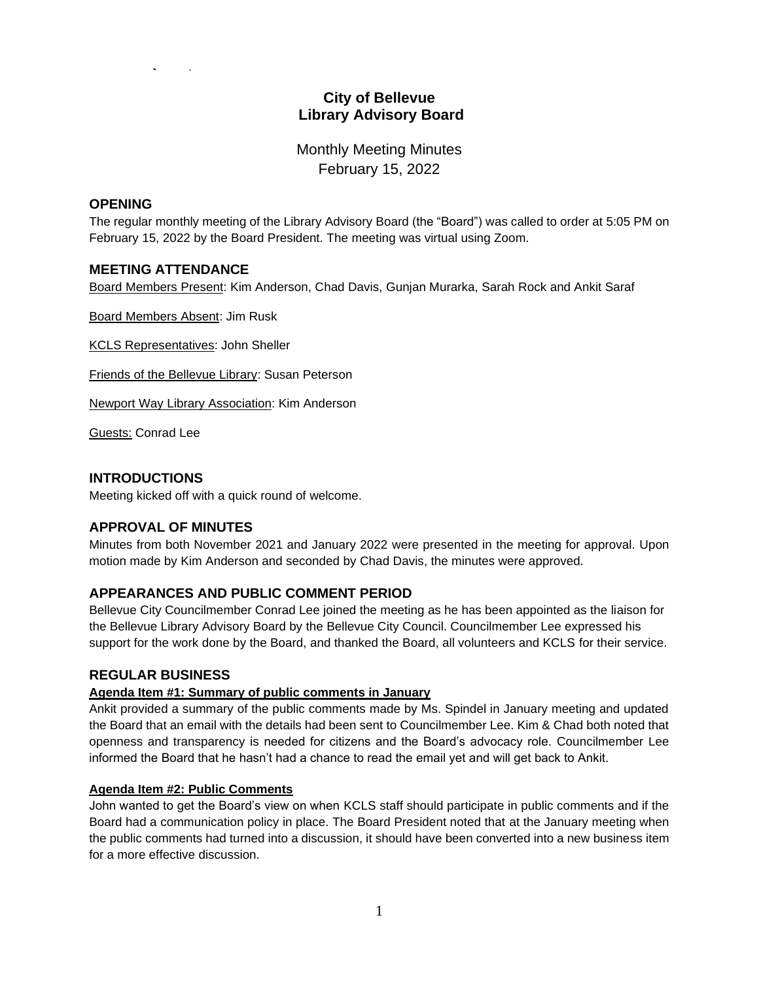# **City of Bellevue Library Advisory Board**

Monthly Meeting Minutes February 15, 2022

### **OPENING**

The regular monthly meeting of the Library Advisory Board (the "Board") was called to order at 5:05 PM on February 15, 2022 by the Board President. The meeting was virtual using Zoom.

### **MEETING ATTENDANCE**

Board Members Present: Kim Anderson, Chad Davis, Gunjan Murarka, Sarah Rock and Ankit Saraf

Board Members Absent: Jim Rusk

KCLS Representatives: John Sheller

Friends of the Bellevue Library: Susan Peterson

Newport Way Library Association: Kim Anderson

Guests: Conrad Lee

### **INTRODUCTIONS**

Meeting kicked off with a quick round of welcome.

# **APPROVAL OF MINUTES**

Minutes from both November 2021 and January 2022 were presented in the meeting for approval. Upon motion made by Kim Anderson and seconded by Chad Davis, the minutes were approved.

# **APPEARANCES AND PUBLIC COMMENT PERIOD**

Bellevue City Councilmember Conrad Lee joined the meeting as he has been appointed as the liaison for the Bellevue Library Advisory Board by the Bellevue City Council. Councilmember Lee expressed his support for the work done by the Board, and thanked the Board, all volunteers and KCLS for their service.

### **REGULAR BUSINESS**

### **Agenda Item #1: Summary of public comments in January**

Ankit provided a summary of the public comments made by Ms. Spindel in January meeting and updated the Board that an email with the details had been sent to Councilmember Lee. Kim & Chad both noted that openness and transparency is needed for citizens and the Board's advocacy role. Councilmember Lee informed the Board that he hasn't had a chance to read the email yet and will get back to Ankit.

### **Agenda Item #2: Public Comments**

John wanted to get the Board's view on when KCLS staff should participate in public comments and if the Board had a communication policy in place. The Board President noted that at the January meeting when the public comments had turned into a discussion, it should have been converted into a new business item for a more effective discussion.